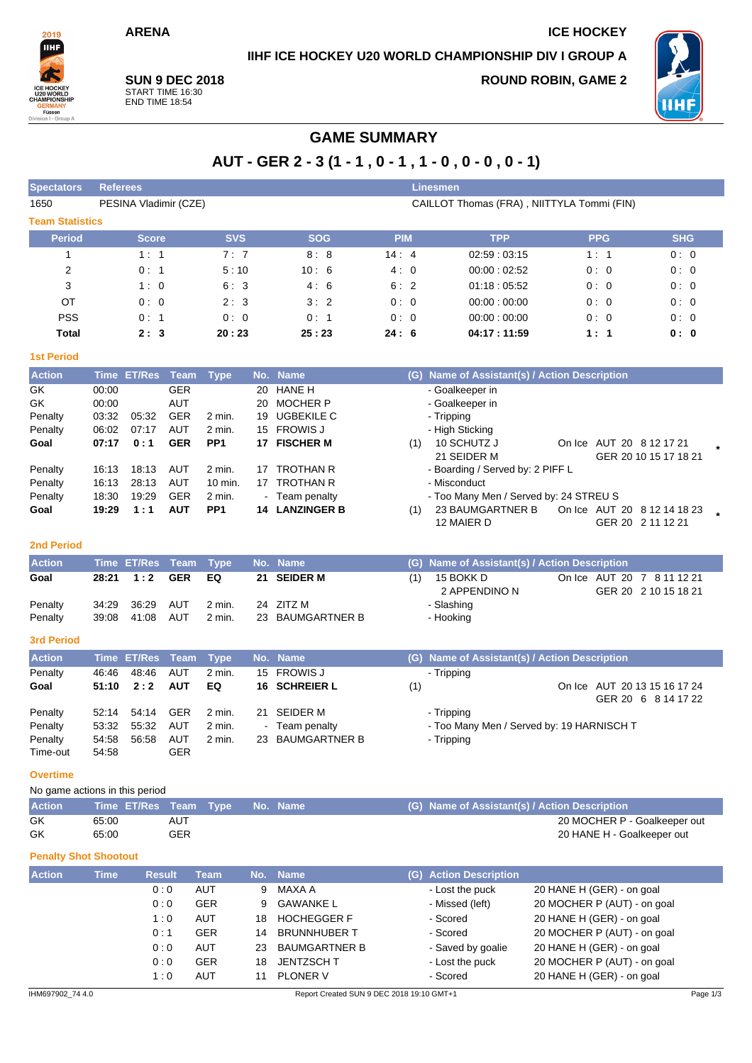# **IIHF ICE HOCKEY U20 WORLD CHAMPIONSHIP DIV I GROUP A**

**ARENA ICE HOCKEY**

2019 IIHF

# **SUN 9 DEC 2018** START TIME 16:30 END TIME 18:54

**ROUND ROBIN, GAME 2**



# **GAME SUMMARY**

| AUT - GER 2 - 3 (1 - 1, 0 - 1, 1 - 0, 0 - 0, 0 - 1) |  |  |  |
|-----------------------------------------------------|--|--|--|
|-----------------------------------------------------|--|--|--|

| <b>Spectators</b>      | <b>Referees</b>       |            | Linesmen                                   |            |             |            |            |  |  |  |  |  |  |
|------------------------|-----------------------|------------|--------------------------------------------|------------|-------------|------------|------------|--|--|--|--|--|--|
| 1650                   | PESINA Vladimir (CZE) |            | CAILLOT Thomas (FRA), NIITTYLA Tommi (FIN) |            |             |            |            |  |  |  |  |  |  |
| <b>Team Statistics</b> |                       |            |                                            |            |             |            |            |  |  |  |  |  |  |
| <b>Period</b>          | <b>Score</b>          | <b>SVS</b> | <b>SOG</b>                                 | <b>PIM</b> | <b>TPP</b>  | <b>PPG</b> | <b>SHG</b> |  |  |  |  |  |  |
|                        | 1:1                   | 7:7        | 8:8                                        | 14:4       | 02:59:03:15 | 1:1        | 0:0        |  |  |  |  |  |  |
| 2                      | 0:1                   | 5:10       | 10:6                                       | 4:0        | 00:00:02:52 | 0:0        | 0:0        |  |  |  |  |  |  |
| 3                      | 1:0                   | 6:3        | 4:6                                        | 6:2        | 01:18:05:52 | 0:0        | 0:0        |  |  |  |  |  |  |
| ОT                     | 0:0                   | 2:3        | 3:2                                        | 0:0        | 00:00:00:00 | 0:0        | 0:0        |  |  |  |  |  |  |
| <b>PSS</b>             | 0:1                   | 0:0        | 0:1                                        | 0:0        | 00:00:00:00 | 0:0        | 0:0        |  |  |  |  |  |  |
| Total                  | 2:3                   | 20:23      | 25:23                                      | 24:6       | 04:17:11:59 | 1:1        | 0: 0       |  |  |  |  |  |  |

#### **1st Period**

| <b>Action</b> |       | Time ET/Res | Team       | <b>Type</b>       |     | No. Name           |                 | (G) Name of Assistant(s) / Action Description |  |                             |  |  |  |  |  |
|---------------|-------|-------------|------------|-------------------|-----|--------------------|-----------------|-----------------------------------------------|--|-----------------------------|--|--|--|--|--|
| GK            | 00:00 |             | <b>GER</b> |                   | 20  | HANE H             | - Goalkeeper in |                                               |  |                             |  |  |  |  |  |
| GK            | 00:00 |             | AUT        |                   | 20  | <b>MOCHER P</b>    |                 | - Goalkeeper in                               |  |                             |  |  |  |  |  |
| Penalty       | 03:32 | 05:32       | <b>GER</b> | 2 min.            | 19  | UGBEKILE C         |                 | - Tripping                                    |  |                             |  |  |  |  |  |
| Penalty       | 06:02 | 07:17       | <b>AUT</b> | $2$ min.          | 15  | <b>FROWIS J</b>    | - High Sticking |                                               |  |                             |  |  |  |  |  |
| Goal          | 07:17 | 0:1         | <b>GER</b> | PP <sub>1</sub>   | 17. | <b>FISCHER M</b>   | (1)             | 10 SCHUTZ J                                   |  | On Ice AUT 20 8 12 17 21    |  |  |  |  |  |
|               |       |             |            |                   |     |                    |                 | 21 SEIDER M                                   |  | GER 20 10 15 17 18 21       |  |  |  |  |  |
| Penalty       | 16:13 | 18:13       | AUT        | $2 \text{ min}$ . | 17  | <b>TROTHAN R</b>   |                 | - Boarding / Served by: 2 PIFF L              |  |                             |  |  |  |  |  |
| Penalty       | 16:13 | 28:13       | AUT        | 10 min.           | 17  | <b>TROTHAN R</b>   |                 | - Misconduct                                  |  |                             |  |  |  |  |  |
| Penalty       | 18:30 | 19:29       | <b>GER</b> | 2 min.            |     | - Team penalty     |                 | - Too Many Men / Served by: 24 STREU S        |  |                             |  |  |  |  |  |
| Goal          | 19:29 | 1:1         | <b>AUT</b> | PP <sub>1</sub>   | 14  | <b>LANZINGER B</b> | (1)             | 23 BAUMGARTNER B                              |  | On Ice AUT 20 8 12 14 18 23 |  |  |  |  |  |
|               |       |             |            |                   |     |                    |                 | 12 MAIER D                                    |  | GER 20 2 11 12 21           |  |  |  |  |  |

## **2nd Period**

| <b>Action</b> |       |           |     | Time ET/Res Team Type No. Name |                  | (G) Name of Assistant(s) / Action Description |                            |
|---------------|-------|-----------|-----|--------------------------------|------------------|-----------------------------------------------|----------------------------|
| Goal          | 28:21 | 1:2       | GER | EQ                             | 21 SEIDER M      | 15 BOKK D                                     | On Ice AUT 20 7 8 11 12 21 |
|               |       |           |     |                                |                  | 2 APPENDINO N                                 | GER 20 2 10 15 18 21       |
| Penalty       | 34.29 | 36:29 AUT |     | 2 min.                         | 24 ZITZ M        | - Slashing                                    |                            |
| Penalty       | 39.08 | 41:08     | AUT | 2 min.                         | 23 BAUMGARTNER B | - Hooking                                     |                            |

# **3rd Period**

| <b>Action</b> |       | Time ET/Res Team Type |            |        | No. Name         |     | (G) Name of Assistant(s) / Action Description |
|---------------|-------|-----------------------|------------|--------|------------------|-----|-----------------------------------------------|
| Penalty       | 46:46 | 48:46                 | AUT        | 2 min. | 15 FROWIS J      |     | - Tripping                                    |
| Goal          | 51:10 | 2:2                   | <b>AUT</b> | EQ     | 16 SCHREIER L    | (1) | On Ice AUT 20 13 15 16 17 24                  |
|               |       |                       |            |        |                  |     | GER 20 6 8 14 17 22                           |
| Penalty       | 52:14 | 54:14                 | <b>GER</b> | 2 min. | 21 SEIDER M      |     | - Tripping                                    |
| Penalty       | 53:32 | 55:32                 | AUT        | 2 min. | - Team penalty   |     | - Too Many Men / Served by: 19 HARNISCH T     |
| Penalty       | 54:58 | 56:58                 | AUT        | 2 min. | 23 BAUMGARTNER B |     | - Tripping                                    |
| Time-out      | 54:58 |                       | <b>GER</b> |        |                  |     |                                               |

#### **Overtime**

No game actions in this period

| <b>Action</b> | Time ET/Res Team Type No. Name |     |  | (G) Name of Assistant(s) / Action Description |
|---------------|--------------------------------|-----|--|-----------------------------------------------|
| GK            | 65:00                          | AUT |  | 20 MOCHER P - Goalkeeper out                  |
| GK            | 65:00                          | GER |  | 20 HANE H - Goalkeeper out                    |

# **Penalty Shot Shootout**

| <b>Action</b> | <b>Time</b> | <b>Result</b> | Team       | No. | <b>Name</b>          | (G) Action Description |                             |
|---------------|-------------|---------------|------------|-----|----------------------|------------------------|-----------------------------|
|               |             | 0:0           | <b>AUT</b> | 9   | MAXA A               | - Lost the puck        | 20 HANE H (GER) - on goal   |
|               |             | 0:0           | <b>GER</b> | 9   | GAWANKE L            | - Missed (left)        | 20 MOCHER P (AUT) - on goal |
|               |             | 1:0           | <b>AUT</b> | 18  | <b>HOCHEGGER F</b>   | - Scored               | 20 HANE H (GER) - on goal   |
|               |             | 0:1           | <b>GER</b> | 14  | <b>BRUNNHUBER T</b>  | - Scored               | 20 MOCHER P (AUT) - on goal |
|               |             | 0:0           | <b>AUT</b> | 23  | <b>BAUMGARTNER B</b> | - Saved by goalie      | 20 HANE H (GER) - on goal   |
|               |             | 0:0           | <b>GER</b> | 18  | JENTZSCH T           | - Lost the puck        | 20 MOCHER P (AUT) - on goal |
|               |             | 1 : 0         | <b>AUT</b> | 11  | <b>PLONER V</b>      | - Scored               | 20 HANE H (GER) - on goal   |
|               |             |               |            |     |                      |                        |                             |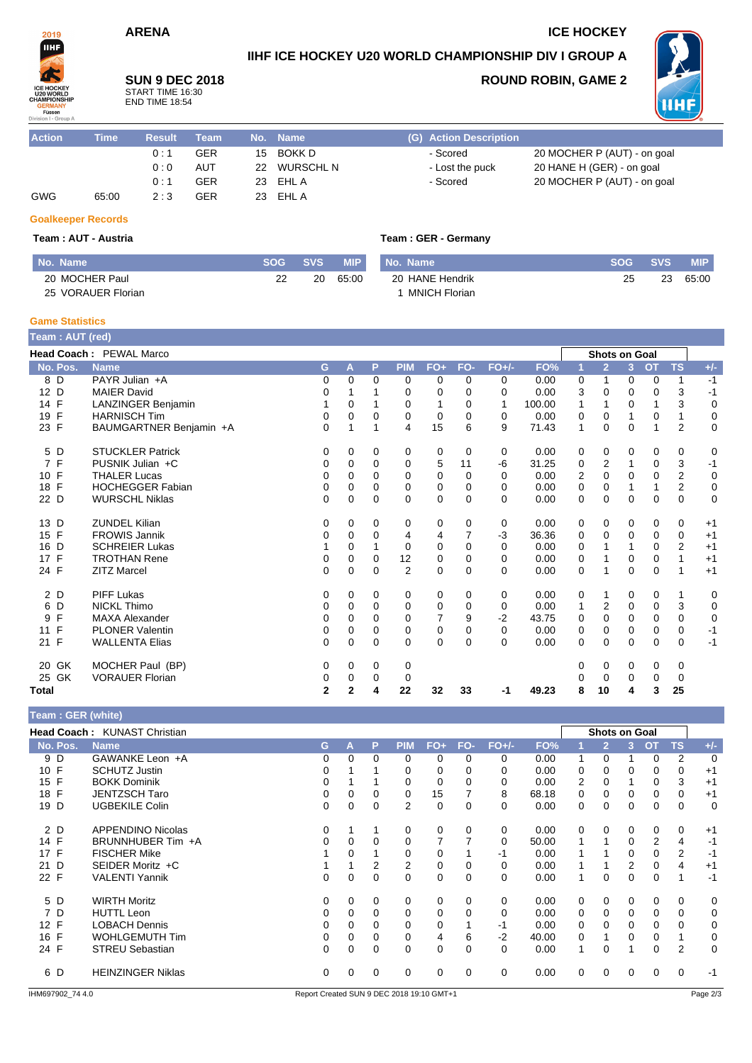# **ARENA ICE HOCKEY**

# **IIHF ICE HOCKEY U20 WORLD CHAMPIONSHIP DIV I GROUP A**

**SUN 9 DEC 2018** START TIME 16:30 END TIME 18:54

# **ROUND ROBIN, GAME 2**



| <b>Action</b> | Time  | <b>Result</b> | Геаm       | .No. | <b>Name</b> | (G) Action Description |                             |
|---------------|-------|---------------|------------|------|-------------|------------------------|-----------------------------|
|               |       | 0:1           | <b>GER</b> | 15   | BOKK D      | - Scored               | 20 MOCHER P (AUT) - on goal |
|               |       | 0:0           | <b>AUT</b> | 22   | WURSCHL N   | - Lost the puck        | 20 HANE H (GER) - on goal   |
|               |       | 0:1           | <b>GER</b> |      | 23 EHL A    | - Scored               | 20 MOCHER P (AUT) - on goal |
| GWG           | 65:00 | 2:3           | <b>GER</b> | 23   | EHL A       |                        |                             |

#### **Goalkeeper Records**

2019 IIHF

#### **Team : AUT - Austria Team : GER - Germany**

| I No. Name         | SOG | <b>SVS</b> | <b>MIP</b> | No. Name        | <b>SOG</b> | <b>SVS</b> | MIP   |
|--------------------|-----|------------|------------|-----------------|------------|------------|-------|
| 20 MOCHER Paul     | つつ  | 20         | 65:00      | 20 HANE Hendrik | 25         | 23         | 65:00 |
| 25 VORAUER Florian |     |            |            | MNICH Florian   |            |            |       |

#### **Game Statistics**

| Team: AUT (red) |                         |                |                |          |                |             |          |          |        |          |                      |                |           |                |             |
|-----------------|-------------------------|----------------|----------------|----------|----------------|-------------|----------|----------|--------|----------|----------------------|----------------|-----------|----------------|-------------|
|                 | Head Coach: PEWAL Marco |                |                |          |                |             |          |          |        |          | <b>Shots on Goal</b> |                |           |                |             |
| No. Pos.        | <b>Name</b>             | G              | A              | P        | <b>PIM</b>     | $FO+$       | FO-      | $FO+/-$  | FO%    | 1        | $\overline{2}$       | 3 <sup>2</sup> | <b>OT</b> | <b>TS</b>      | $+/-$       |
| 8 D             | PAYR Julian +A          | 0              | 0              | 0        | 0              | 0           | 0        | 0        | 0.00   | 0        | 1                    | 0              | 0         | 1              | $-1$        |
| 12 D            | <b>MAIER David</b>      | 0              |                |          | 0              | 0           | 0        | 0        | 0.00   | 3        | $\mathbf 0$          | 0              | 0         | 3              | $-1$        |
| 14 F            | LANZINGER Benjamin      |                | 0              |          | 0              | 1           | $\Omega$ | 1        | 100.00 | 1        | 1                    | $\Omega$       | 1         | 3              | 0           |
| 19 F            | <b>HARNISCH Tim</b>     | 0              | $\Omega$       | 0        | 0              | 0           | $\Omega$ | 0        | 0.00   | 0        | $\Omega$             | 1              | 0         | 1              | 0           |
| 23 F            | BAUMGARTNER Benjamin +A | 0              | 1              | 1        | 4              | 15          | 6        | 9        | 71.43  | 1        | $\mathbf 0$          | 0              | 1         | $\overline{2}$ | 0           |
| D<br>5          | <b>STUCKLER Patrick</b> | 0              | 0              | 0        | 0              | 0           | 0        | 0        | 0.00   | 0        | 0                    | 0              | 0         | 0              | 0           |
| 7 F             | PUSNIK Julian +C        | 0              | 0              | $\Omega$ | 0              | 5           | 11       | -6       | 31.25  | 0        | 2                    | 1              | 0         | 3              | $-1$        |
| F<br>10         | <b>THALER Lucas</b>     | 0              | 0              | $\Omega$ | $\mathbf 0$    | 0           | $\Omega$ | 0        | 0.00   | 2        | $\mathbf 0$          | 0              | 0         | $\overline{2}$ | 0           |
| F<br>18         | <b>HOCHEGGER Fabian</b> | 0              | $\Omega$       | $\Omega$ | $\Omega$       | 0           | $\Omega$ | 0        | 0.00   | 0        | $\Omega$             |                | 1         | $\overline{2}$ | 0           |
| 22 D            | <b>WURSCHL Niklas</b>   | 0              | 0              | $\Omega$ | 0              | 0           | $\Omega$ | 0        | 0.00   | 0        | $\mathbf 0$          | 0              | 0         | $\mathbf 0$    | $\mathbf 0$ |
| 13 D            | <b>ZUNDEL Kilian</b>    | 0              | 0              | 0        | 0              | 0           | 0        | 0        | 0.00   | 0        | 0                    | 0              | 0         | 0              | $+1$        |
| 15 F            | <b>FROWIS Jannik</b>    | 0              | 0              | $\Omega$ | 4              | 4           | 7        | $-3$     | 36.36  | 0        | 0                    | 0              | 0         | 0              | $+1$        |
| D<br>16         | <b>SCHREIER Lukas</b>   |                | $\mathbf 0$    |          | 0              | $\mathbf 0$ | $\Omega$ | 0        | 0.00   | 0        | 1                    |                | 0         | $\overline{2}$ | $+1$        |
| F<br>17         | <b>TROTHAN Rene</b>     | 0              | 0              | 0        | 12             | 0           | $\Omega$ | 0        | 0.00   | 0        | 1                    | 0              | 0         | 1              | $+1$        |
| 24 F            | <b>ZITZ Marcel</b>      | 0              | $\Omega$       | $\Omega$ | $\overline{2}$ | 0           | $\Omega$ | $\Omega$ | 0.00   | $\Omega$ | 1                    | 0              | 0         | 1              | $+1$        |
| 2 D             | <b>PIFF Lukas</b>       | 0              | 0              | 0        | 0              | 0           | 0        | 0        | 0.00   | 0        | 1                    | 0              | 0         | $\mathbf{1}$   | 0           |
| D<br>6          | <b>NICKL Thimo</b>      | 0              | 0              | $\Omega$ | 0              | 0           | $\Omega$ | 0        | 0.00   | 1        | 2                    | $\mathbf 0$    | 0         | 3              | 0           |
| F<br>9          | <b>MAXA Alexander</b>   | 0              | 0              | 0        | 0              | 7           | 9        | $-2$     | 43.75  | 0        | $\mathbf 0$          | 0              | 0         | $\mathbf 0$    | $\mathbf 0$ |
| F<br>11         | <b>PLONER Valentin</b>  | 0              | $\Omega$       | $\Omega$ | $\Omega$       | 0           | $\Omega$ | $\Omega$ | 0.00   | 0        | $\Omega$             | $\Omega$       | $\Omega$  | $\mathbf 0$    | $-1$        |
| 21 F            | <b>WALLENTA Elias</b>   | 0              | 0              | 0        | 0              | 0           | 0        | $\Omega$ | 0.00   | 0        | $\mathbf 0$          | 0              | 0         | 0              | $-1$        |
| 20 GK           | MOCHER Paul (BP)        | 0              | 0              | 0        | 0              |             |          |          |        | 0        | 0                    | 0              | 0         | 0              |             |
| GK<br>25        | <b>VORAUER Florian</b>  | 0              | 0              | 0        | 0              |             |          |          |        | 0        | 0                    | 0              | 0         | 0              |             |
| Total           |                         | $\overline{2}$ | $\overline{2}$ | 4        | 22             | 32          | 33       | -1       | 49.23  | 8        | 10                   | 4              | 3         | 25             |             |

|  | Team: GER (white) |  |  |  |
|--|-------------------|--|--|--|
|  |                   |  |  |  |

|          | <b>Head Coach: KUNAST Christian</b> |   |          |          |            |          |          | <b>Shots on Goal</b> |       |                |                |    |                |           |          |
|----------|-------------------------------------|---|----------|----------|------------|----------|----------|----------------------|-------|----------------|----------------|----|----------------|-----------|----------|
| No. Pos. | <b>Name</b>                         | G | Α        | P        | <b>PIM</b> | FO+      | FO-      | $FO+/-$              | FO%   |                | $\overline{2}$ | 3. | <b>OT</b>      | <b>TS</b> | $+/-$    |
| 9 D      | GAWANKE Leon +A                     | 0 | $\Omega$ | $\Omega$ | 0          | $\Omega$ | 0        | 0                    | 0.00  |                | $\Omega$       |    | 0              | 2         | $\Omega$ |
| 10 F     | <b>SCHUTZ Justin</b>                | 0 |          |          | 0          | 0        | 0        | 0                    | 0.00  | 0              | 0              | 0  | 0              | 0         | $+1$     |
| 15 F     | <b>BOKK Dominik</b>                 | 0 |          |          | 0          | 0        | 0        | 0                    | 0.00  | $\overline{2}$ | 0              |    | 0              | 3         | $+1$     |
| 18 F     | <b>JENTZSCH Taro</b>                |   |          |          |            | 15       |          | 8                    | 68.18 | 0              | 0              |    | 0              | 0         | $+1$     |
| 19 D     | <b>UGBEKILE Colin</b>               | 0 | 0        | $\Omega$ | 2          | 0        | 0        | 0                    | 0.00  | 0              | 0              | 0  | 0              | 0         | 0        |
| 2 D      | <b>APPENDINO Nicolas</b>            | 0 |          |          | 0          | 0        | 0        | 0                    | 0.00  | $\Omega$       | $\Omega$       | 0  | 0              | 0         | $+1$     |
| 14 F     | BRUNNHUBER Tim +A                   |   | 0        | 0        |            |          |          | 0                    | 50.00 |                |                | 0  | $\overline{2}$ | 4         | $-1$     |
| 17 F     | <b>FISCHER Mike</b>                 |   | 0        |          |            | 0        |          | -1                   | 0.00  |                |                | 0  | 0              | 2         | -1       |
| 21 D     | SEIDER Moritz +C                    |   |          | 2        | 2          | 0        | 0        | $\Omega$             | 0.00  |                |                | 2  | 0              | 4         | $+1$     |
| 22 F     | <b>VALENTI Yannik</b>               | 0 |          | 0        | 0          | 0        | 0        | 0                    | 0.00  |                | 0              | 0  | 0              | 1         | $-1$     |
| 5 D      | <b>WIRTH Moritz</b>                 | 0 | $\Omega$ | 0        | 0          | 0        | $\Omega$ | 0                    | 0.00  | 0              | 0              | 0  | 0              | 0         | 0        |
| 7 D      | <b>HUTTL Leon</b>                   | 0 | 0        | $\Omega$ | 0          | 0        | 0        | 0                    | 0.00  | 0              | 0              | 0  | 0              | 0         | 0        |
| 12 F     | <b>LOBACH Dennis</b>                | 0 | $\Omega$ | 0        |            | 0        |          | -1                   | 0.00  | 0              | $\Omega$       | 0  | 0              | $\Omega$  | 0        |
| 16 F     | <b>WOHLGEMUTH Tim</b>               | 0 | 0        | 0        |            | 4        | 6        | $-2$                 | 40.00 | 0              |                |    | 0              |           | 0        |
| 24 F     | <b>STREU Sebastian</b>              | 0 | $\Omega$ | 0        | $\Omega$   | 0        | 0        | $\Omega$             | 0.00  | 1              | 0              |    | 0              | 2         | $\Omega$ |
| 6 D      | <b>HEINZINGER Niklas</b>            | 0 |          | $\Omega$ | 0          | $\Omega$ | $\Omega$ | 0                    | 0.00  | 0              | 0              |    | 0              | $\Omega$  | $-1$     |